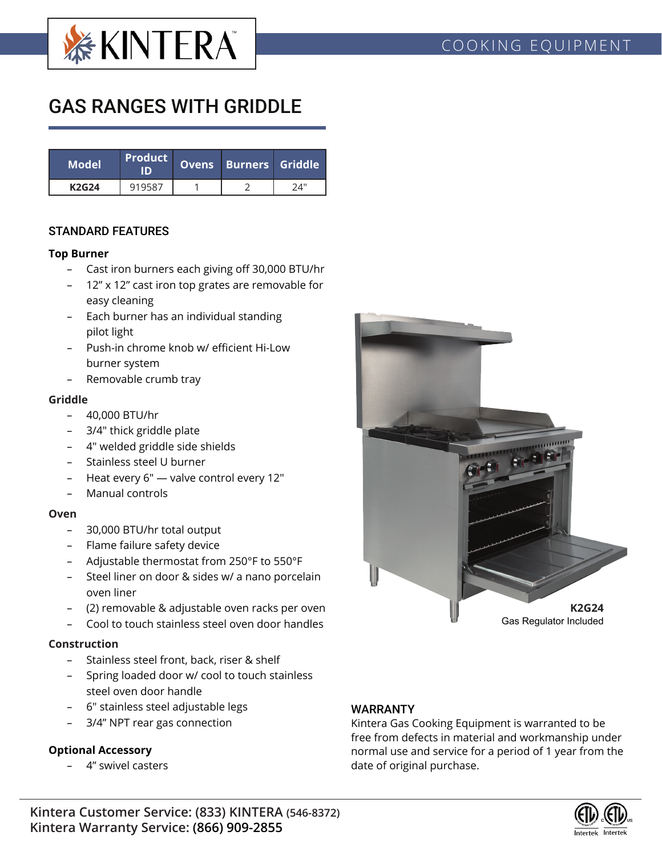

# GAS RANGES WITH GRIDDLE

| <b>Model</b> | <b>Product</b><br>חו | Ovens Burners Griddle |     |  |
|--------------|----------------------|-----------------------|-----|--|
| <b>K2G24</b> | 919587               |                       | 74" |  |

### STANDARD FEATURES

#### **Top Burner**

- Cast iron burners each giving off 30,000 BTU/hr
- 12" x 12" cast iron top grates are removable for easy cleaning
- Each burner has an individual standing pilot light
- Push-in chrome knob w/ efficient Hi-Low burner system
- Removable crumb tray

#### **Griddle**

- 40,000 BTU/hr
- 3/4" thick griddle plate
- 4" welded griddle side shields
- Stainless steel U burner
- Heat every 6" valve control every 12"
- Manual controls

#### **Oven**

- 30,000 BTU/hr total output
- Flame failure safety device
- Adjustable thermostat from 250°F to 550°F
- Steel liner on door & sides w/ a nano porcelain oven liner
- (2) removable & adjustable oven racks per oven
- Cool to touch stainless steel oven door handles

#### **Construction**

- Stainless steel front, back, riser & shelf
- Spring loaded door w/ cool to touch stainless steel oven door handle
- 6" stainless steel adjustable legs
- 3/4" NPT rear gas connection

#### **Optional Accessory**

– 4" swivel casters



## WARRANTY

Kintera Gas Cooking Equipment is warranted to be free from defects in material and workmanship under normal use and service for a period of 1 year from the date of original purchase.